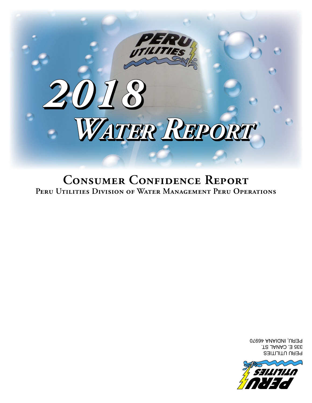

PERU UTILITIES 335 E. CANAL ST. PERU, INDIANA 46970

**Consumer Confidence Report Peru Utilities Division of Water Management Peru Operations**

# *Water Report*

*2018*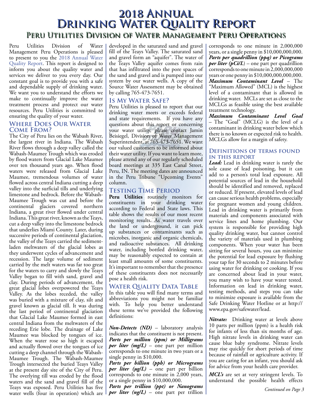## **2018 Annual Drinking Water Quality Report Peru Utilities Division of Water Management Peru Operations**

Peru Utilities Division of Water Management Peru Operations is pleased to present to you the 2018 Annual Water Quality Report. This report is designed to inform you about the quality water and services we deliver to you every day. Our constant goal is to provide you with a safe and dependable supply of drinking water. We want you to understand the efforts we make to continually improve the water treatment process and protect our water resources. Peru Utilities is committed to ensuring the quality of your water.

### **Where Does Our Water Come From?**

The City of Peru lies on the Wabash River, the largest river in Indiana. The Wabash River flows through a deep valley called the Wabash-Maumee Trough which was eroded by flood waters from Glacial Lake Maumee over ten thousand years ago. When flood waters were released from Glacial Lake Maumee, tremendous volumes of water flowed across central Indiana cutting a deep valley into the surficial tills and underlying limestone and bedrock. Before the Wabash-Maumee Trough was cut and before the continental glaciers covered northern Indiana, a great river flowed under central Indiana. This great river, known as the Teays, cut a deep valley into the limestone bedrock that underlies Miami County. Later, during successive periods of continental glaciation, the valley of the Teays carried the sedimentladen meltwaters of the glacial lobes as they underwent cycles of advancement and recession. The large volume of sediment carried by the melt waters was far too great for the waters to carry and slowly the Teays Valley began to fill with sand, gravel and clay. During periods of advancement, the great glacial lobes overpowered the Teays Valley. As the lobes receded, the valley was buried with a mixture of clay, silt and gravel known as glacial till. It was during the last period of continental glaciation that Glacial Lake Maumee formed in east central Indiana from the meltwaters of the receding Erie lobe. The drainage of Lake Maumee was blocked by tongues of ice. When the water rose so high it escaped and actually flowed over the tongues of ice cutting a deep channel through the Wabash-Maumee Trough. The Wabash-Maumee Trough intersected the buried Teays Valley at the present day site of the City of Peru. The overlying till was eroded by the flood waters and the sand and gravel fill of the Teays was exposed. Peru Utilities has five water wells (four in operation) which are

developed in the saturated sand and gravel fill of the Teays Valley. The saturated sand and gravel form an "aquifer". The water of the Teays Valley aquifer comes from rain that has infiltrated into the pore spaces of the sand and gravel and is pumped into our system by our water wells. A copy of the Source Water Assessment may be obtained by calling 765-473-7651.

### **Is My Water Safe?**

Peru Utilities is pleased to report that our drinking water meets or exceeds federal and state requirements. If you have any questions about this report or concerning your water utility, please contact Jamin Beisiegel, Division of Water Management Superintendent, at 765-473-7651. We want our valued customers to be informed about their water utility. If you want to learn more, please attend any of our regularly scheduled board meetings at 335 East Canal Street, Peru, IN. The meeting dates are announced in the Peru Tribune "Upcoming Events" column.

### **Testing Time Period**

**Peru Utilities** routinely monitors for constituents in your drinking water according to Federal and State laws. This table shows the results of our most recent monitoring results. As water travels over the land or underground, it can pick up substances or contaminants such as microbes, inorganic and organic chemicals, and radioactive substances. All drinking water, including bottled drinking water, may be reasonably expected to contain at least small amounts of some constituents. It's important to remember that the presence of these constituents does not necessarily pose a health risk.

### **WATER QUALITY DATA TABLE**

In this table you will find many terms and abbreviations you might not be familiar with. To help you better understand these terms we've provided the following definitions:

*Non-Detects (ND)* – laboratory analysis indicates that the constituent is not present. *Parts per million (ppm) or Milligrams per liter (mg/L)* – one part per million corresponds to one minute in two years or a single penny in \$10,000.

*Parts per billion (ppb) or Micrograms per liter (µg/L)* – one part per billion corresponds to one minute in 2,000 years, or a single penny in \$10,000,000.

*Parts per trillion (ppt) or Nanograms per liter (ng/L)* – one part per trillion

corresponds to one minute in 2,000,000 years, or a single penny in \$10,000,000,000. *Parts per quadrillion (ppq) or Picograms per liter (pCi/L*) – one part per quadrillion corresponds to one minute in 2,000,000,000 years or one penny in \$10,000,000,000,000. *Maximum Contaminant Level* – The "Maximum Allowed" (MCL) is the highest level of a contaminant that is allowed in drinking water. MCLs are set as close to the MCLGs as feasible using the best available treatment technology.

*Maximum Contaminant Level Goal* – The "Goal" (MCLG) is the level of a contaminant in drinking water below which there is no known or expected risk to health. MCLGs allow for a margin of safety.

### **Definitions of terms found in this report**

*Lead:* Lead in drinking water is rarely the sole cause of lead poisoning, but it can add to a person's total lead exposure. All potential sources of lead in the household should be identified and removed, replaced or reduced. If present, elevated levels of lead can cause serious health problems, especially for pregnant women and young children. Lead in drinking water is primarily from materials and components associated with service lines and home plumbing. Our system is responsible for providing high quality drinking water, but cannot control the variety of materials used in plumbing components. When your water has been sitting for several hours, you can minimize the potential for lead exposure by flushing your tap for 30 seconds to 2 minutes before using water for drinking or cooking. If you are concerned about lead in your water, you many wish to have your water tested. Information on lead in drinking water, testing methods, and steps you can take to minimize exposure is available from the Safe Drinking Water Hotline or at http:// www.epa.gov/safewater/lead.

*Nitrate:* Drinking water at levels above 10 parts per million (ppm) is a health risk for infants of less than six months of age. High nitrate levels in drinking water can cause blue baby syndrome. Nitrate levels may rise quickly for short periods of time because of rainfall or agriculture activity. If you are caring for an infant, you should ask for advice from your health care provider.

*MCL's* are set at very stringent levels. To understand the possible health effects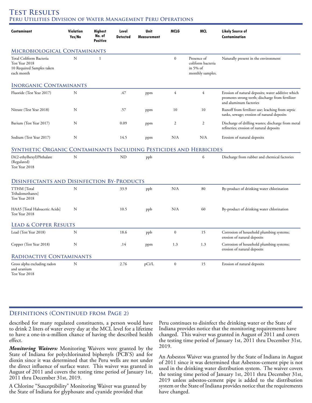### **Test Results Peru Utilities Division of Water Management Peru Operations**

| <b>Contaminant</b>                                                                   | Violation<br>Yes/No | <b>Highest</b><br>No. of<br><b>Positive</b> | Level<br><b>Detected</b> | Unit<br>Measurement | MCLG             | MCL                                                                 | <b>Likely Source of</b><br><b>Contamination</b>                                                                                 |
|--------------------------------------------------------------------------------------|---------------------|---------------------------------------------|--------------------------|---------------------|------------------|---------------------------------------------------------------------|---------------------------------------------------------------------------------------------------------------------------------|
| MICROBIOLOGICAL CONTAMINANTS                                                         |                     |                                             |                          |                     |                  |                                                                     |                                                                                                                                 |
| Total Coliform Bacteria<br>Test Year 2018<br>10 Required Samples taken<br>each month | $\mathbf N$         | $\mathbf{1}$                                |                          |                     | $\boldsymbol{0}$ | Presence of<br>coliform bacteria<br>in $5\%$ of<br>monthly samples. | Naturally present in the environment                                                                                            |
| <b>INORGANIC CONTAMINANTS</b>                                                        |                     |                                             |                          |                     |                  |                                                                     |                                                                                                                                 |
| Fluoride (Test Year 2017)                                                            | N                   |                                             | .47                      | ppm                 | $\overline{4}$   | $\overline{4}$                                                      | Erosion of natural deposits; water additive which<br>promotes strong teeth; discharge from fertilizer<br>and aluminum factories |
| Nitrate (Test Year 2018)                                                             | N                   |                                             | .57                      | ppm                 | 10               | 10                                                                  | Runoff from fertilizer use; leaching from septic<br>tanks, sewage; erosion of natural deposits                                  |
| Barium (Test Year 2017)                                                              | N                   |                                             | 0.09                     | ppm                 | $\mathfrak{2}$   | $\mathfrak{2}$                                                      | Discharge of drilling wastes; discharge from metal<br>refineries; erosion of natural deposits                                   |
| Sodium (Test Year 2017)                                                              | N                   |                                             | 14.5                     | ppm                 | N/A              | N/A                                                                 | Erosion of natural deposits                                                                                                     |
| SYNTHETIC ORGANIC CONTAMINANTS INCLUDING PESTICIDES AND HERBICIDES                   |                     |                                             |                          |                     |                  |                                                                     |                                                                                                                                 |
| Di(2-ethylhexyl)Phthalate<br>(Regulated)<br>Test Year 2018                           | $\mathbf N$         |                                             | <b>ND</b>                | ppb                 |                  | 6                                                                   | Discharge from rubber and chemical factories                                                                                    |
| <b>DISINFECTANTS AND DISINFECTION BY-PRODUCTS</b>                                    |                     |                                             |                          |                     |                  |                                                                     |                                                                                                                                 |
| TTHM [Total<br>Trihalomethanes]<br>Test Year 2018                                    | N                   |                                             | 33.9                     | ppb                 | N/A              | 80                                                                  | By-product of drinking water chlorination                                                                                       |
| HAA5 [Total Haloacetic Acids]<br>Test Year 2018                                      | N                   |                                             | 10.5                     | ppb                 | N/A              | 60                                                                  | By-product of drinking water chlorination                                                                                       |
| <b>LEAD &amp; COPPER RESULTS</b>                                                     |                     |                                             |                          |                     |                  |                                                                     |                                                                                                                                 |
| Lead (Test Year 2018)                                                                | N                   |                                             | 18.6                     | ppb                 | $\boldsymbol{0}$ | 15                                                                  | Corrosion of household plumbing systems;<br>erosion of natural deposits                                                         |
| Copper (Test Year 2018)                                                              | N                   |                                             | .14                      | ppm                 | 1.3              | 1.3                                                                 | Corrosion of household plumbing systems;<br>erosion of natural deposits                                                         |
| RADIOACTIVE CONTAMINANTS                                                             |                     |                                             |                          |                     |                  |                                                                     |                                                                                                                                 |
| Gross alpha excluding radon<br>and uranium<br>Test Year 2018                         | $\mathbf N$         |                                             | 2.76                     | pCi/L               | $\boldsymbol{0}$ | 15                                                                  | Erosion of natural deposits                                                                                                     |

### **DEFINITIONS (CONTINUED FROM PAGE 2)**

described for many regulated constituents, a person would have to drink 2 liters of water every day at the MCL level for a lifetime to have a one-in-a-million chance of having the described health effect.

*Monitoring Waivers:* Monitoring Waivers were granted by the State of Indiana for polychlorinated biphenyls (PCB'S) and for dioxin since it was determined that the Peru wells are not under the direct influence of surface water. This waiver was granted in August of 2011 and covers the testing time period of January 1st, 2011 thru December 31st, 2019.

A Chlorine "Susceptibility" Monitoring Waiver was granted by the State of Indiana for glyphosate and cyanide provided that

Peru continues to disinfect the drinking water or the State of Indiana provides notice that the monitoring requirements have changed. This waiver was granted in August of 2011 and covers the testing time period of January 1st, 2011 thru December 31st, 2019.

An Asbestos Waiver was granted by the State of Indiana in August of 2011 since it was determined that Asbestos-cement pipe is not used in the drinking water distribution system. The waiver covers the testing time period of January 1st, 2011 thru December 31st, 2019 unless asbestos-cement pipe is added to the distribution system or the State of Indiana provides notice that the requirements have changed.